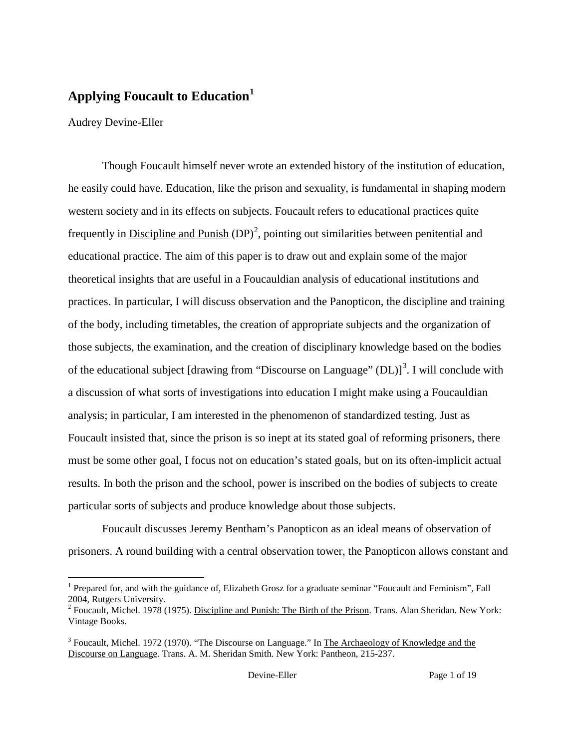## **Applying Foucault to Education[1](#page-0-0)**

Audrey Devine-Eller

Though Foucault himself never wrote an extended history of the institution of education, he easily could have. Education, like the prison and sexuality, is fundamental in shaping modern western society and in its effects on subjects. Foucault refers to educational practices quite frequently in **Discipline and Punish**  $(DP)^2$  $(DP)^2$ , pointing out similarities between penitential and educational practice. The aim of this paper is to draw out and explain some of the major theoretical insights that are useful in a Foucauldian analysis of educational institutions and practices. In particular, I will discuss observation and the Panopticon, the discipline and training of the body, including timetables, the creation of appropriate subjects and the organization of those subjects, the examination, and the creation of disciplinary knowledge based on the bodies of the educational subject [drawing from "Discourse on Language"  $(DL)$ ]<sup>[3](#page-0-2)</sup>. I will conclude with a discussion of what sorts of investigations into education I might make using a Foucauldian analysis; in particular, I am interested in the phenomenon of standardized testing. Just as Foucault insisted that, since the prison is so inept at its stated goal of reforming prisoners, there must be some other goal, I focus not on education's stated goals, but on its often-implicit actual results. In both the prison and the school, power is inscribed on the bodies of subjects to create particular sorts of subjects and produce knowledge about those subjects.

Foucault discusses Jeremy Bentham's Panopticon as an ideal means of observation of prisoners. A round building with a central observation tower, the Panopticon allows constant and

<span id="page-0-0"></span><sup>&</sup>lt;sup>1</sup> Prepared for, and with the guidance of, Elizabeth Grosz for a graduate seminar "Foucault and Feminism", Fall 2004, Rutgers University.

<span id="page-0-1"></span><sup>2</sup> Foucault, Michel. 1978 (1975). Discipline and Punish: The Birth of the Prison. Trans. Alan Sheridan. New York: Vintage Books.

<span id="page-0-2"></span><sup>&</sup>lt;sup>3</sup> Foucault, Michel. 1972 (1970). "The Discourse on Language." In The Archaeology of Knowledge and the Discourse on Language. Trans. A. M. Sheridan Smith. New York: Pantheon, 215-237.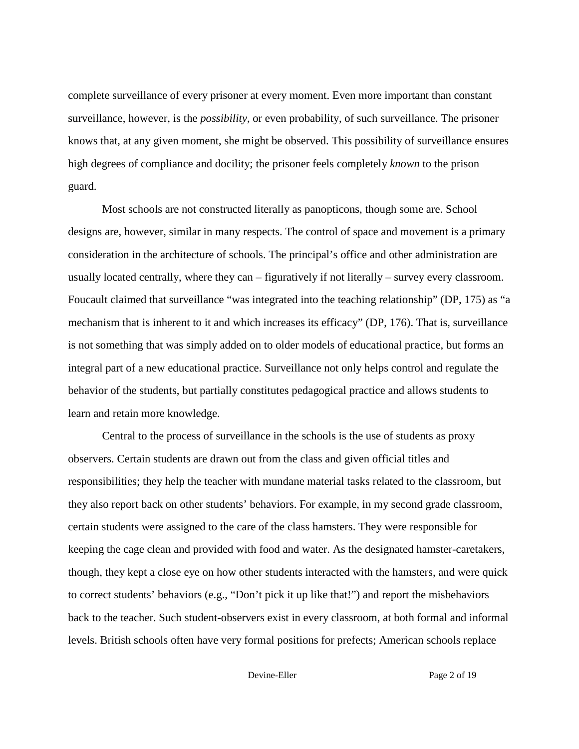complete surveillance of every prisoner at every moment. Even more important than constant surveillance, however, is the *possibility*, or even probability, of such surveillance. The prisoner knows that, at any given moment, she might be observed. This possibility of surveillance ensures high degrees of compliance and docility; the prisoner feels completely *known* to the prison guard.

Most schools are not constructed literally as panopticons, though some are. School designs are, however, similar in many respects. The control of space and movement is a primary consideration in the architecture of schools. The principal's office and other administration are usually located centrally, where they can – figuratively if not literally – survey every classroom. Foucault claimed that surveillance "was integrated into the teaching relationship" (DP, 175) as "a mechanism that is inherent to it and which increases its efficacy" (DP, 176). That is, surveillance is not something that was simply added on to older models of educational practice, but forms an integral part of a new educational practice. Surveillance not only helps control and regulate the behavior of the students, but partially constitutes pedagogical practice and allows students to learn and retain more knowledge.

Central to the process of surveillance in the schools is the use of students as proxy observers. Certain students are drawn out from the class and given official titles and responsibilities; they help the teacher with mundane material tasks related to the classroom, but they also report back on other students' behaviors. For example, in my second grade classroom, certain students were assigned to the care of the class hamsters. They were responsible for keeping the cage clean and provided with food and water. As the designated hamster-caretakers, though, they kept a close eye on how other students interacted with the hamsters, and were quick to correct students' behaviors (e.g., "Don't pick it up like that!") and report the misbehaviors back to the teacher. Such student-observers exist in every classroom, at both formal and informal levels. British schools often have very formal positions for prefects; American schools replace

Devine-Eller Page 2 of 19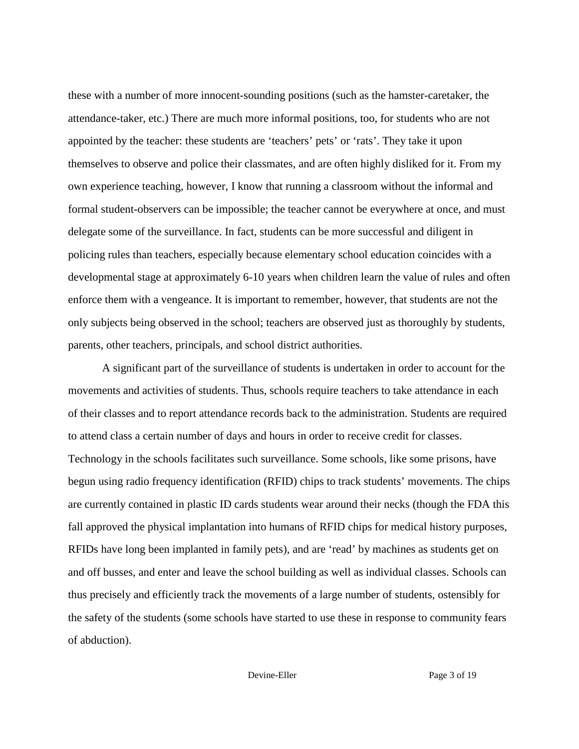these with a number of more innocent-sounding positions (such as the hamster-caretaker, the attendance-taker, etc.) There are much more informal positions, too, for students who are not appointed by the teacher: these students are 'teachers' pets' or 'rats'. They take it upon themselves to observe and police their classmates, and are often highly disliked for it. From my own experience teaching, however, I know that running a classroom without the informal and formal student-observers can be impossible; the teacher cannot be everywhere at once, and must delegate some of the surveillance. In fact, students can be more successful and diligent in policing rules than teachers, especially because elementary school education coincides with a developmental stage at approximately 6-10 years when children learn the value of rules and often enforce them with a vengeance. It is important to remember, however, that students are not the only subjects being observed in the school; teachers are observed just as thoroughly by students, parents, other teachers, principals, and school district authorities.

A significant part of the surveillance of students is undertaken in order to account for the movements and activities of students. Thus, schools require teachers to take attendance in each of their classes and to report attendance records back to the administration. Students are required to attend class a certain number of days and hours in order to receive credit for classes. Technology in the schools facilitates such surveillance. Some schools, like some prisons, have begun using radio frequency identification (RFID) chips to track students' movements. The chips are currently contained in plastic ID cards students wear around their necks (though the FDA this fall approved the physical implantation into humans of RFID chips for medical history purposes, RFIDs have long been implanted in family pets), and are 'read' by machines as students get on and off busses, and enter and leave the school building as well as individual classes. Schools can thus precisely and efficiently track the movements of a large number of students, ostensibly for the safety of the students (some schools have started to use these in response to community fears of abduction).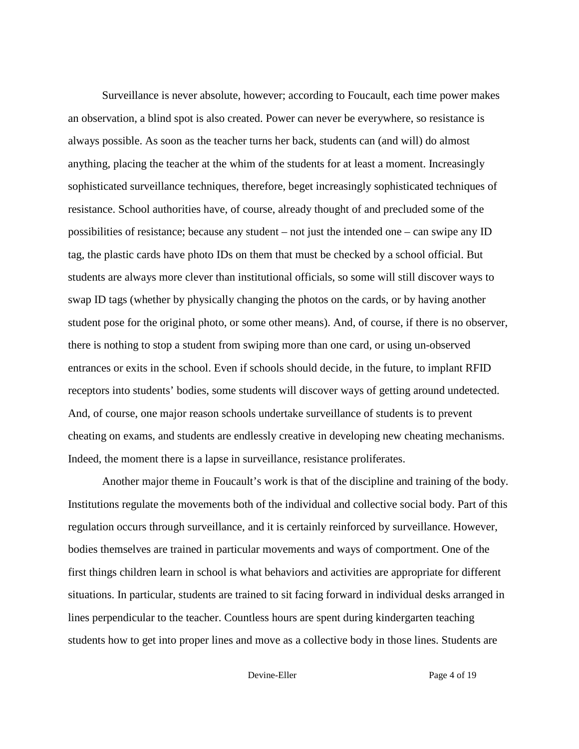Surveillance is never absolute, however; according to Foucault, each time power makes an observation, a blind spot is also created. Power can never be everywhere, so resistance is always possible. As soon as the teacher turns her back, students can (and will) do almost anything, placing the teacher at the whim of the students for at least a moment. Increasingly sophisticated surveillance techniques, therefore, beget increasingly sophisticated techniques of resistance. School authorities have, of course, already thought of and precluded some of the possibilities of resistance; because any student – not just the intended one – can swipe any ID tag, the plastic cards have photo IDs on them that must be checked by a school official. But students are always more clever than institutional officials, so some will still discover ways to swap ID tags (whether by physically changing the photos on the cards, or by having another student pose for the original photo, or some other means). And, of course, if there is no observer, there is nothing to stop a student from swiping more than one card, or using un-observed entrances or exits in the school. Even if schools should decide, in the future, to implant RFID receptors into students' bodies, some students will discover ways of getting around undetected. And, of course, one major reason schools undertake surveillance of students is to prevent cheating on exams, and students are endlessly creative in developing new cheating mechanisms. Indeed, the moment there is a lapse in surveillance, resistance proliferates.

Another major theme in Foucault's work is that of the discipline and training of the body. Institutions regulate the movements both of the individual and collective social body. Part of this regulation occurs through surveillance, and it is certainly reinforced by surveillance. However, bodies themselves are trained in particular movements and ways of comportment. One of the first things children learn in school is what behaviors and activities are appropriate for different situations. In particular, students are trained to sit facing forward in individual desks arranged in lines perpendicular to the teacher. Countless hours are spent during kindergarten teaching students how to get into proper lines and move as a collective body in those lines. Students are

Devine-Eller Page 4 of 19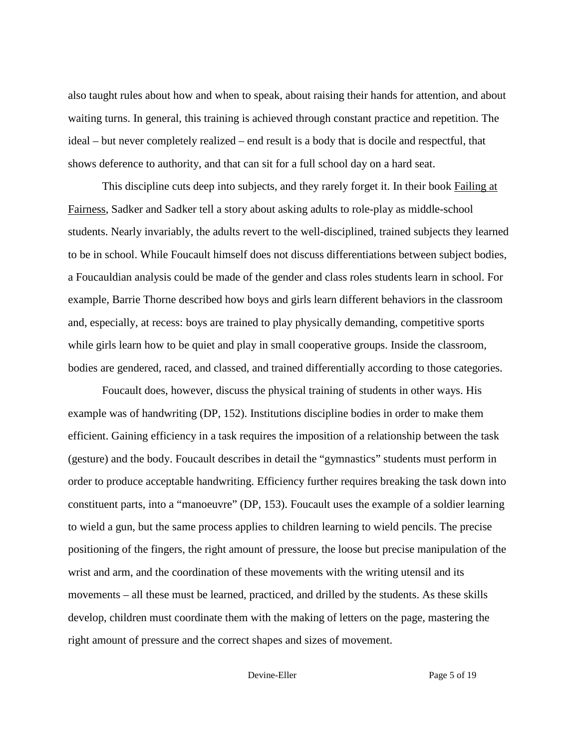also taught rules about how and when to speak, about raising their hands for attention, and about waiting turns. In general, this training is achieved through constant practice and repetition. The ideal – but never completely realized – end result is a body that is docile and respectful, that shows deference to authority, and that can sit for a full school day on a hard seat.

This discipline cuts deep into subjects, and they rarely forget it. In their book Failing at Fairness, Sadker and Sadker tell a story about asking adults to role-play as middle-school students. Nearly invariably, the adults revert to the well-disciplined, trained subjects they learned to be in school. While Foucault himself does not discuss differentiations between subject bodies, a Foucauldian analysis could be made of the gender and class roles students learn in school. For example, Barrie Thorne described how boys and girls learn different behaviors in the classroom and, especially, at recess: boys are trained to play physically demanding, competitive sports while girls learn how to be quiet and play in small cooperative groups. Inside the classroom, bodies are gendered, raced, and classed, and trained differentially according to those categories.

Foucault does, however, discuss the physical training of students in other ways. His example was of handwriting (DP, 152). Institutions discipline bodies in order to make them efficient. Gaining efficiency in a task requires the imposition of a relationship between the task (gesture) and the body. Foucault describes in detail the "gymnastics" students must perform in order to produce acceptable handwriting. Efficiency further requires breaking the task down into constituent parts, into a "manoeuvre" (DP, 153). Foucault uses the example of a soldier learning to wield a gun, but the same process applies to children learning to wield pencils. The precise positioning of the fingers, the right amount of pressure, the loose but precise manipulation of the wrist and arm, and the coordination of these movements with the writing utensil and its movements – all these must be learned, practiced, and drilled by the students. As these skills develop, children must coordinate them with the making of letters on the page, mastering the right amount of pressure and the correct shapes and sizes of movement.

Devine-Eller Page 5 of 19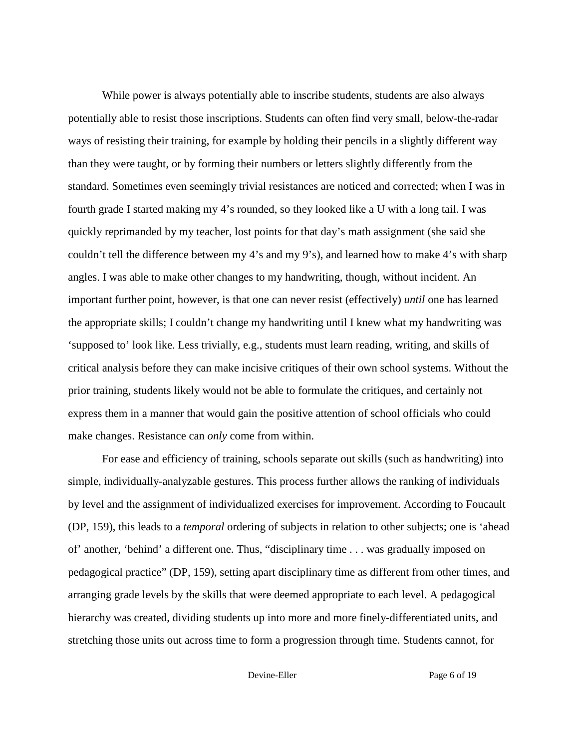While power is always potentially able to inscribe students, students are also always potentially able to resist those inscriptions. Students can often find very small, below-the-radar ways of resisting their training, for example by holding their pencils in a slightly different way than they were taught, or by forming their numbers or letters slightly differently from the standard. Sometimes even seemingly trivial resistances are noticed and corrected; when I was in fourth grade I started making my 4's rounded, so they looked like a U with a long tail. I was quickly reprimanded by my teacher, lost points for that day's math assignment (she said she couldn't tell the difference between my 4's and my 9's), and learned how to make 4's with sharp angles. I was able to make other changes to my handwriting, though, without incident. An important further point, however, is that one can never resist (effectively) *until* one has learned the appropriate skills; I couldn't change my handwriting until I knew what my handwriting was 'supposed to' look like. Less trivially, e.g., students must learn reading, writing, and skills of critical analysis before they can make incisive critiques of their own school systems. Without the prior training, students likely would not be able to formulate the critiques, and certainly not express them in a manner that would gain the positive attention of school officials who could make changes. Resistance can *only* come from within.

For ease and efficiency of training, schools separate out skills (such as handwriting) into simple, individually-analyzable gestures. This process further allows the ranking of individuals by level and the assignment of individualized exercises for improvement. According to Foucault (DP, 159), this leads to a *temporal* ordering of subjects in relation to other subjects; one is 'ahead of' another, 'behind' a different one. Thus, "disciplinary time . . . was gradually imposed on pedagogical practice" (DP, 159), setting apart disciplinary time as different from other times, and arranging grade levels by the skills that were deemed appropriate to each level. A pedagogical hierarchy was created, dividing students up into more and more finely-differentiated units, and stretching those units out across time to form a progression through time. Students cannot, for

Devine-Eller Page 6 of 19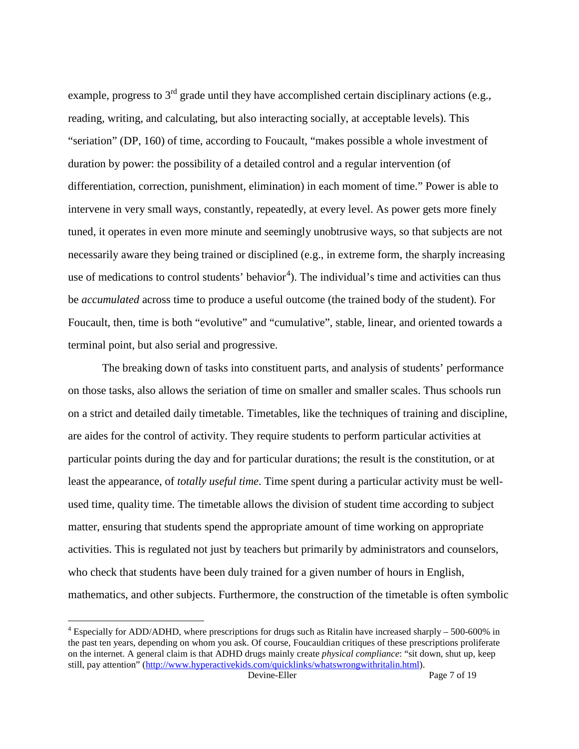example, progress to  $3<sup>rd</sup>$  grade until they have accomplished certain disciplinary actions (e.g., reading, writing, and calculating, but also interacting socially, at acceptable levels). This "seriation" (DP, 160) of time, according to Foucault, "makes possible a whole investment of duration by power: the possibility of a detailed control and a regular intervention (of differentiation, correction, punishment, elimination) in each moment of time." Power is able to intervene in very small ways, constantly, repeatedly, at every level. As power gets more finely tuned, it operates in even more minute and seemingly unobtrusive ways, so that subjects are not necessarily aware they being trained or disciplined (e.g., in extreme form, the sharply increasing use of medications to control students' behavior<sup>[4](#page-6-0)</sup>). The individual's time and activities can thus be *accumulated* across time to produce a useful outcome (the trained body of the student). For Foucault, then, time is both "evolutive" and "cumulative", stable, linear, and oriented towards a terminal point, but also serial and progressive.

The breaking down of tasks into constituent parts, and analysis of students' performance on those tasks, also allows the seriation of time on smaller and smaller scales. Thus schools run on a strict and detailed daily timetable. Timetables, like the techniques of training and discipline, are aides for the control of activity. They require students to perform particular activities at particular points during the day and for particular durations; the result is the constitution, or at least the appearance, of *totally useful time*. Time spent during a particular activity must be wellused time, quality time. The timetable allows the division of student time according to subject matter, ensuring that students spend the appropriate amount of time working on appropriate activities. This is regulated not just by teachers but primarily by administrators and counselors, who check that students have been duly trained for a given number of hours in English, mathematics, and other subjects. Furthermore, the construction of the timetable is often symbolic

<span id="page-6-0"></span><sup>&</sup>lt;sup>4</sup> Especially for ADD/ADHD, where prescriptions for drugs such as Ritalin have increased sharply – 500-600% in the past ten years, depending on whom you ask. Of course, Foucauldian critiques of these prescriptions proliferate on the internet. A general claim is that ADHD drugs mainly create *physical compliance*: "sit down, shut up, keep still, pay attention" [\(http://www.hyperactivekids.com/quicklinks/whatswrongwithritalin.html\)](http://www.hyperactivekids.com/quicklinks/whatswrongwithritalin.html).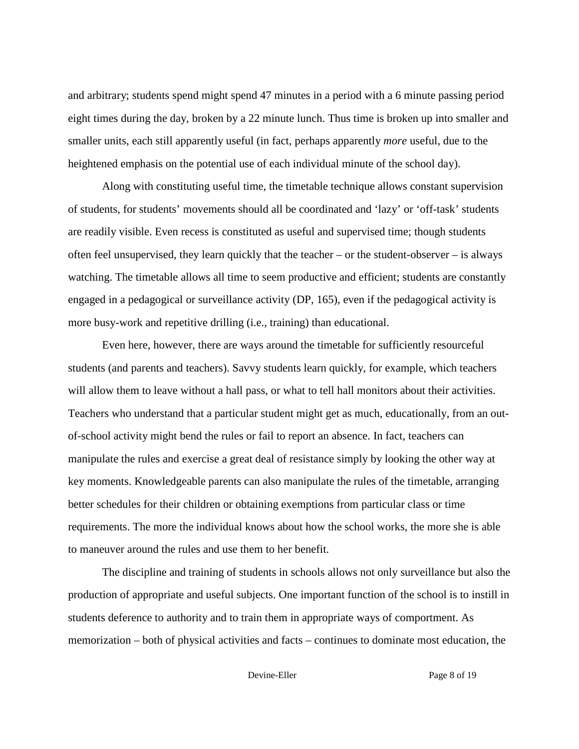and arbitrary; students spend might spend 47 minutes in a period with a 6 minute passing period eight times during the day, broken by a 22 minute lunch. Thus time is broken up into smaller and smaller units, each still apparently useful (in fact, perhaps apparently *more* useful, due to the heightened emphasis on the potential use of each individual minute of the school day).

Along with constituting useful time, the timetable technique allows constant supervision of students, for students' movements should all be coordinated and 'lazy' or 'off-task' students are readily visible. Even recess is constituted as useful and supervised time; though students often feel unsupervised, they learn quickly that the teacher – or the student-observer – is always watching. The timetable allows all time to seem productive and efficient; students are constantly engaged in a pedagogical or surveillance activity (DP, 165), even if the pedagogical activity is more busy-work and repetitive drilling (i.e., training) than educational.

Even here, however, there are ways around the timetable for sufficiently resourceful students (and parents and teachers). Savvy students learn quickly, for example, which teachers will allow them to leave without a hall pass, or what to tell hall monitors about their activities. Teachers who understand that a particular student might get as much, educationally, from an outof-school activity might bend the rules or fail to report an absence. In fact, teachers can manipulate the rules and exercise a great deal of resistance simply by looking the other way at key moments. Knowledgeable parents can also manipulate the rules of the timetable, arranging better schedules for their children or obtaining exemptions from particular class or time requirements. The more the individual knows about how the school works, the more she is able to maneuver around the rules and use them to her benefit.

The discipline and training of students in schools allows not only surveillance but also the production of appropriate and useful subjects. One important function of the school is to instill in students deference to authority and to train them in appropriate ways of comportment. As memorization – both of physical activities and facts – continues to dominate most education, the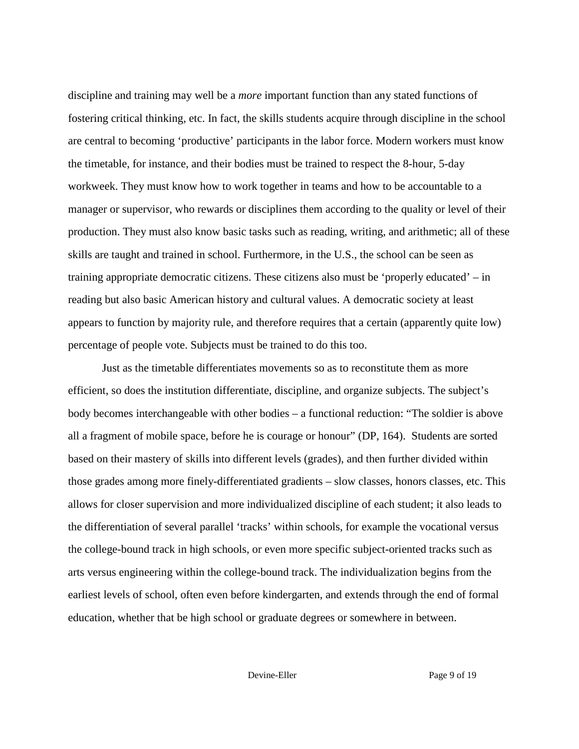discipline and training may well be a *more* important function than any stated functions of fostering critical thinking, etc. In fact, the skills students acquire through discipline in the school are central to becoming 'productive' participants in the labor force. Modern workers must know the timetable, for instance, and their bodies must be trained to respect the 8-hour, 5-day workweek. They must know how to work together in teams and how to be accountable to a manager or supervisor, who rewards or disciplines them according to the quality or level of their production. They must also know basic tasks such as reading, writing, and arithmetic; all of these skills are taught and trained in school. Furthermore, in the U.S., the school can be seen as training appropriate democratic citizens. These citizens also must be 'properly educated' – in reading but also basic American history and cultural values. A democratic society at least appears to function by majority rule, and therefore requires that a certain (apparently quite low) percentage of people vote. Subjects must be trained to do this too.

Just as the timetable differentiates movements so as to reconstitute them as more efficient, so does the institution differentiate, discipline, and organize subjects. The subject's body becomes interchangeable with other bodies – a functional reduction: "The soldier is above all a fragment of mobile space, before he is courage or honour" (DP, 164). Students are sorted based on their mastery of skills into different levels (grades), and then further divided within those grades among more finely-differentiated gradients – slow classes, honors classes, etc. This allows for closer supervision and more individualized discipline of each student; it also leads to the differentiation of several parallel 'tracks' within schools, for example the vocational versus the college-bound track in high schools, or even more specific subject-oriented tracks such as arts versus engineering within the college-bound track. The individualization begins from the earliest levels of school, often even before kindergarten, and extends through the end of formal education, whether that be high school or graduate degrees or somewhere in between.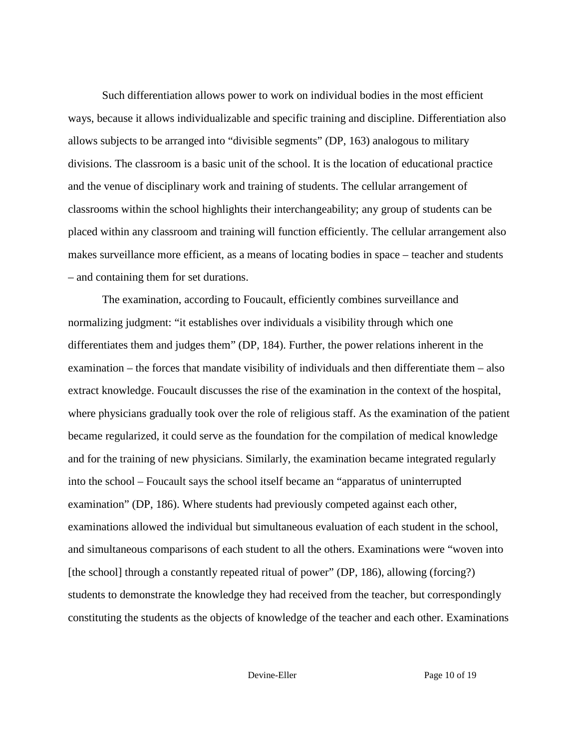Such differentiation allows power to work on individual bodies in the most efficient ways, because it allows individualizable and specific training and discipline. Differentiation also allows subjects to be arranged into "divisible segments" (DP, 163) analogous to military divisions. The classroom is a basic unit of the school. It is the location of educational practice and the venue of disciplinary work and training of students. The cellular arrangement of classrooms within the school highlights their interchangeability; any group of students can be placed within any classroom and training will function efficiently. The cellular arrangement also makes surveillance more efficient, as a means of locating bodies in space – teacher and students – and containing them for set durations.

The examination, according to Foucault, efficiently combines surveillance and normalizing judgment: "it establishes over individuals a visibility through which one differentiates them and judges them" (DP, 184). Further, the power relations inherent in the examination – the forces that mandate visibility of individuals and then differentiate them – also extract knowledge. Foucault discusses the rise of the examination in the context of the hospital, where physicians gradually took over the role of religious staff. As the examination of the patient became regularized, it could serve as the foundation for the compilation of medical knowledge and for the training of new physicians. Similarly, the examination became integrated regularly into the school – Foucault says the school itself became an "apparatus of uninterrupted examination" (DP, 186). Where students had previously competed against each other, examinations allowed the individual but simultaneous evaluation of each student in the school, and simultaneous comparisons of each student to all the others. Examinations were "woven into [the school] through a constantly repeated ritual of power" (DP, 186), allowing (forcing?) students to demonstrate the knowledge they had received from the teacher, but correspondingly constituting the students as the objects of knowledge of the teacher and each other. Examinations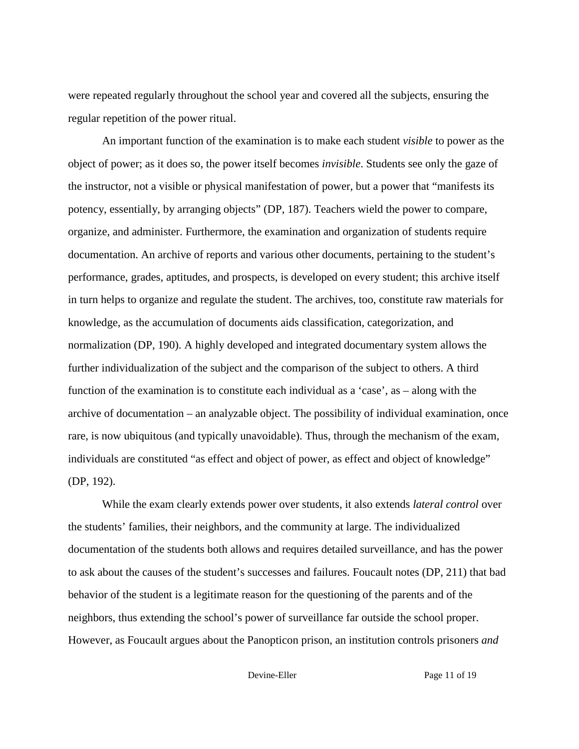were repeated regularly throughout the school year and covered all the subjects, ensuring the regular repetition of the power ritual.

An important function of the examination is to make each student *visible* to power as the object of power; as it does so, the power itself becomes *invisible*. Students see only the gaze of the instructor, not a visible or physical manifestation of power, but a power that "manifests its potency, essentially, by arranging objects" (DP, 187). Teachers wield the power to compare, organize, and administer. Furthermore, the examination and organization of students require documentation. An archive of reports and various other documents, pertaining to the student's performance, grades, aptitudes, and prospects, is developed on every student; this archive itself in turn helps to organize and regulate the student. The archives, too, constitute raw materials for knowledge, as the accumulation of documents aids classification, categorization, and normalization (DP, 190). A highly developed and integrated documentary system allows the further individualization of the subject and the comparison of the subject to others. A third function of the examination is to constitute each individual as a 'case', as – along with the archive of documentation – an analyzable object. The possibility of individual examination, once rare, is now ubiquitous (and typically unavoidable). Thus, through the mechanism of the exam, individuals are constituted "as effect and object of power, as effect and object of knowledge" (DP, 192).

While the exam clearly extends power over students, it also extends *lateral control* over the students' families, their neighbors, and the community at large. The individualized documentation of the students both allows and requires detailed surveillance, and has the power to ask about the causes of the student's successes and failures. Foucault notes (DP, 211) that bad behavior of the student is a legitimate reason for the questioning of the parents and of the neighbors, thus extending the school's power of surveillance far outside the school proper. However, as Foucault argues about the Panopticon prison, an institution controls prisoners *and*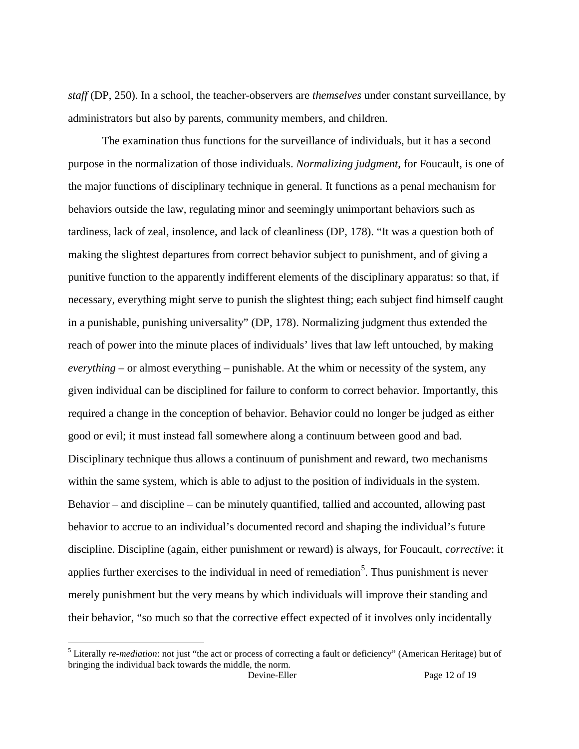*staff* (DP, 250). In a school, the teacher-observers are *themselves* under constant surveillance, by administrators but also by parents, community members, and children.

The examination thus functions for the surveillance of individuals, but it has a second purpose in the normalization of those individuals. *Normalizing judgment*, for Foucault, is one of the major functions of disciplinary technique in general. It functions as a penal mechanism for behaviors outside the law, regulating minor and seemingly unimportant behaviors such as tardiness, lack of zeal, insolence, and lack of cleanliness (DP, 178). "It was a question both of making the slightest departures from correct behavior subject to punishment, and of giving a punitive function to the apparently indifferent elements of the disciplinary apparatus: so that, if necessary, everything might serve to punish the slightest thing; each subject find himself caught in a punishable, punishing universality" (DP, 178). Normalizing judgment thus extended the reach of power into the minute places of individuals' lives that law left untouched, by making *everything* – or almost everything – punishable. At the whim or necessity of the system, any given individual can be disciplined for failure to conform to correct behavior. Importantly, this required a change in the conception of behavior. Behavior could no longer be judged as either good or evil; it must instead fall somewhere along a continuum between good and bad. Disciplinary technique thus allows a continuum of punishment and reward, two mechanisms within the same system, which is able to adjust to the position of individuals in the system. Behavior – and discipline – can be minutely quantified, tallied and accounted, allowing past behavior to accrue to an individual's documented record and shaping the individual's future discipline. Discipline (again, either punishment or reward) is always, for Foucault, *corrective*: it applies further exercises to the individual in need of remediation<sup>[5](#page-11-0)</sup>. Thus punishment is never merely punishment but the very means by which individuals will improve their standing and their behavior, "so much so that the corrective effect expected of it involves only incidentally

<span id="page-11-1"></span><span id="page-11-0"></span> <sup>5</sup> Literally *re-mediation*: not just "the act or process of correcting a fault or deficiency" (American Heritage) but of bringing the individual back towards the middle, the norm.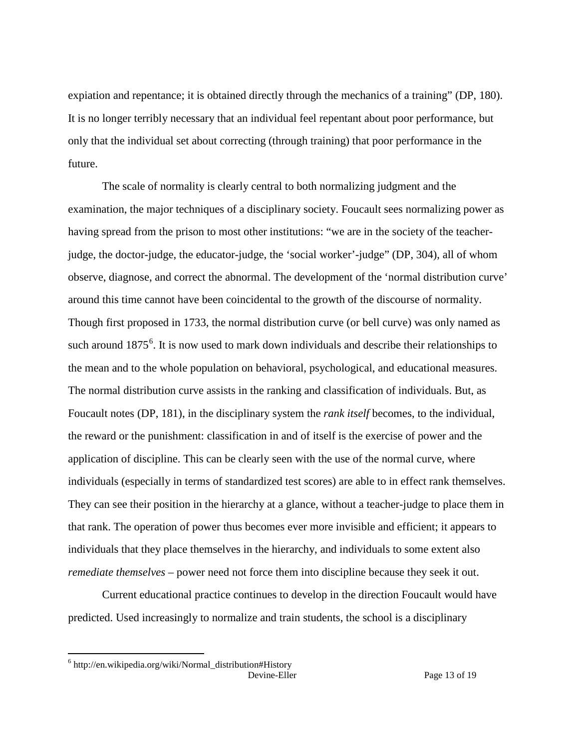expiation and repentance; it is obtained directly through the mechanics of a training" (DP, 180). It is no longer terribly necessary that an individual feel repentant about poor performance, but only that the individual set about correcting (through training) that poor performance in the future.

The scale of normality is clearly central to both normalizing judgment and the examination, the major techniques of a disciplinary society. Foucault sees normalizing power as having spread from the prison to most other institutions: "we are in the society of the teacherjudge, the doctor-judge, the educator-judge, the 'social worker'-judge" (DP, 304), all of whom observe, diagnose, and correct the abnormal. The development of the 'normal distribution curve' around this time cannot have been coincidental to the growth of the discourse of normality. Though first proposed in 1733, the normal distribution curve (or bell curve) was only named as such around  $1875^6$  $1875^6$ . It is now used to mark down individuals and describe their relationships to the mean and to the whole population on behavioral, psychological, and educational measures. The normal distribution curve assists in the ranking and classification of individuals. But, as Foucault notes (DP, 181), in the disciplinary system the *rank itself* becomes, to the individual, the reward or the punishment: classification in and of itself is the exercise of power and the application of discipline. This can be clearly seen with the use of the normal curve, where individuals (especially in terms of standardized test scores) are able to in effect rank themselves. They can see their position in the hierarchy at a glance, without a teacher-judge to place them in that rank. The operation of power thus becomes ever more invisible and efficient; it appears to individuals that they place themselves in the hierarchy, and individuals to some extent also *remediate themselves* – power need not force them into discipline because they seek it out.

Current educational practice continues to develop in the direction Foucault would have predicted. Used increasingly to normalize and train students, the school is a disciplinary

Devine-Eller Page 13 of 19  $6$  http://en.wikipedia.org/wiki/Normal\_distribution#History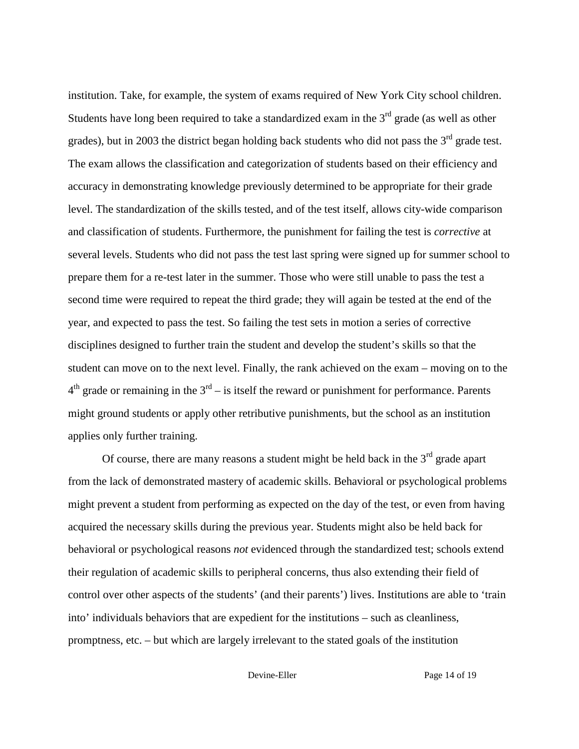institution. Take, for example, the system of exams required of New York City school children. Students have long been required to take a standardized exam in the  $3<sup>rd</sup>$  grade (as well as other grades), but in 2003 the district began holding back students who did not pass the  $3<sup>rd</sup>$  grade test. The exam allows the classification and categorization of students based on their efficiency and accuracy in demonstrating knowledge previously determined to be appropriate for their grade level. The standardization of the skills tested, and of the test itself, allows city-wide comparison and classification of students. Furthermore, the punishment for failing the test is *corrective* at several levels. Students who did not pass the test last spring were signed up for summer school to prepare them for a re-test later in the summer. Those who were still unable to pass the test a second time were required to repeat the third grade; they will again be tested at the end of the year, and expected to pass the test. So failing the test sets in motion a series of corrective disciplines designed to further train the student and develop the student's skills so that the student can move on to the next level. Finally, the rank achieved on the exam – moving on to the  $4<sup>th</sup>$  grade or remaining in the  $3<sup>rd</sup> -$  is itself the reward or punishment for performance. Parents might ground students or apply other retributive punishments, but the school as an institution applies only further training.

Of course, there are many reasons a student might be held back in the  $3<sup>rd</sup>$  grade apart from the lack of demonstrated mastery of academic skills. Behavioral or psychological problems might prevent a student from performing as expected on the day of the test, or even from having acquired the necessary skills during the previous year. Students might also be held back for behavioral or psychological reasons *not* evidenced through the standardized test; schools extend their regulation of academic skills to peripheral concerns, thus also extending their field of control over other aspects of the students' (and their parents') lives. Institutions are able to 'train into' individuals behaviors that are expedient for the institutions – such as cleanliness, promptness, etc. – but which are largely irrelevant to the stated goals of the institution

Devine-Eller Page 14 of 19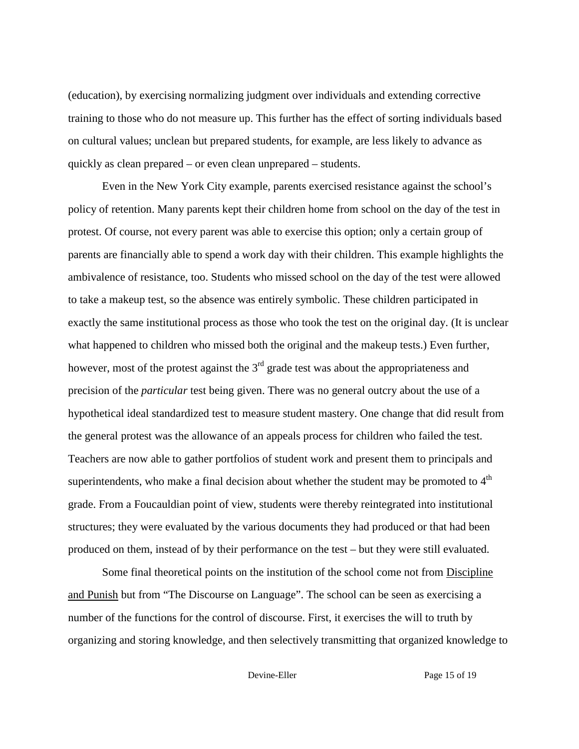(education), by exercising normalizing judgment over individuals and extending corrective training to those who do not measure up. This further has the effect of sorting individuals based on cultural values; unclean but prepared students, for example, are less likely to advance as quickly as clean prepared – or even clean unprepared – students.

Even in the New York City example, parents exercised resistance against the school's policy of retention. Many parents kept their children home from school on the day of the test in protest. Of course, not every parent was able to exercise this option; only a certain group of parents are financially able to spend a work day with their children. This example highlights the ambivalence of resistance, too. Students who missed school on the day of the test were allowed to take a makeup test, so the absence was entirely symbolic. These children participated in exactly the same institutional process as those who took the test on the original day. (It is unclear what happened to children who missed both the original and the makeup tests.) Even further, however, most of the protest against the  $3<sup>rd</sup>$  grade test was about the appropriateness and precision of the *particular* test being given. There was no general outcry about the use of a hypothetical ideal standardized test to measure student mastery. One change that did result from the general protest was the allowance of an appeals process for children who failed the test. Teachers are now able to gather portfolios of student work and present them to principals and superintendents, who make a final decision about whether the student may be promoted to  $4<sup>th</sup>$ grade. From a Foucauldian point of view, students were thereby reintegrated into institutional structures; they were evaluated by the various documents they had produced or that had been produced on them, instead of by their performance on the test – but they were still evaluated.

Some final theoretical points on the institution of the school come not from Discipline and Punish but from "The Discourse on Language". The school can be seen as exercising a number of the functions for the control of discourse. First, it exercises the will to truth by organizing and storing knowledge, and then selectively transmitting that organized knowledge to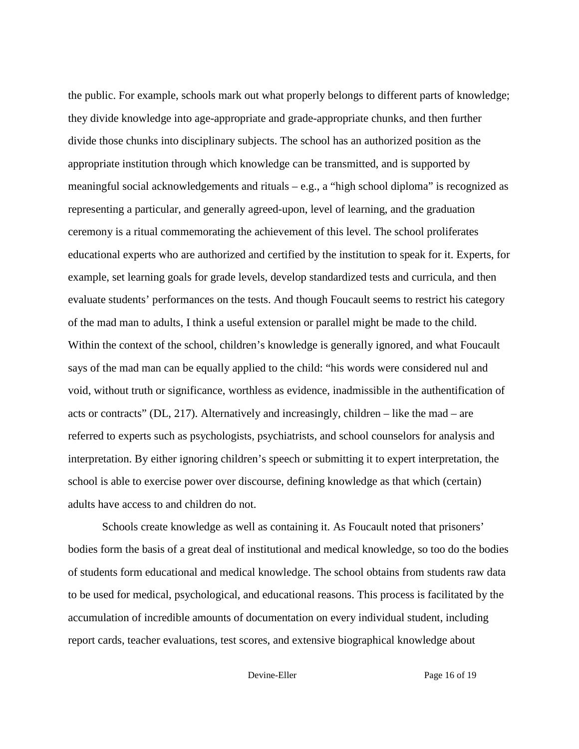the public. For example, schools mark out what properly belongs to different parts of knowledge; they divide knowledge into age-appropriate and grade-appropriate chunks, and then further divide those chunks into disciplinary subjects. The school has an authorized position as the appropriate institution through which knowledge can be transmitted, and is supported by meaningful social acknowledgements and rituals – e.g., a "high school diploma" is recognized as representing a particular, and generally agreed-upon, level of learning, and the graduation ceremony is a ritual commemorating the achievement of this level. The school proliferates educational experts who are authorized and certified by the institution to speak for it. Experts, for example, set learning goals for grade levels, develop standardized tests and curricula, and then evaluate students' performances on the tests. And though Foucault seems to restrict his category of the mad man to adults, I think a useful extension or parallel might be made to the child. Within the context of the school, children's knowledge is generally ignored, and what Foucault says of the mad man can be equally applied to the child: "his words were considered nul and void, without truth or significance, worthless as evidence, inadmissible in the authentification of acts or contracts" (DL, 217). Alternatively and increasingly, children – like the mad – are referred to experts such as psychologists, psychiatrists, and school counselors for analysis and interpretation. By either ignoring children's speech or submitting it to expert interpretation, the school is able to exercise power over discourse, defining knowledge as that which (certain) adults have access to and children do not.

Schools create knowledge as well as containing it. As Foucault noted that prisoners' bodies form the basis of a great deal of institutional and medical knowledge, so too do the bodies of students form educational and medical knowledge. The school obtains from students raw data to be used for medical, psychological, and educational reasons. This process is facilitated by the accumulation of incredible amounts of documentation on every individual student, including report cards, teacher evaluations, test scores, and extensive biographical knowledge about

Devine-Eller Page 16 of 19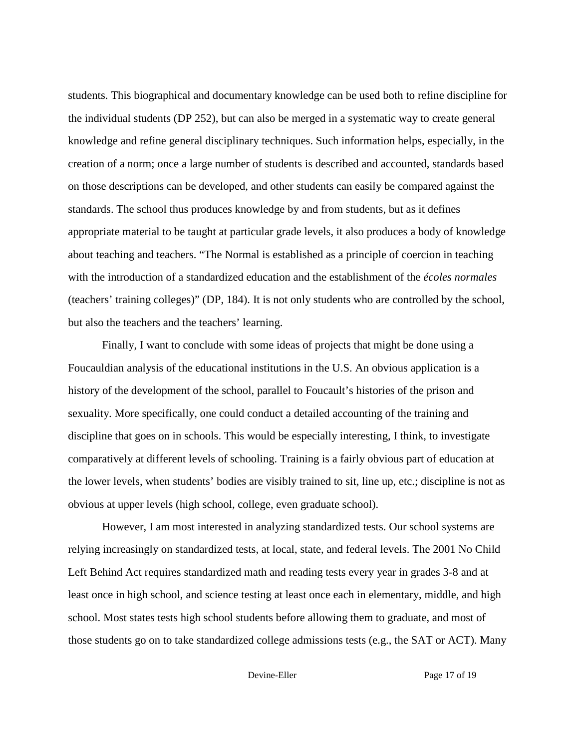students. This biographical and documentary knowledge can be used both to refine discipline for the individual students (DP 252), but can also be merged in a systematic way to create general knowledge and refine general disciplinary techniques. Such information helps, especially, in the creation of a norm; once a large number of students is described and accounted, standards based on those descriptions can be developed, and other students can easily be compared against the standards. The school thus produces knowledge by and from students, but as it defines appropriate material to be taught at particular grade levels, it also produces a body of knowledge about teaching and teachers. "The Normal is established as a principle of coercion in teaching with the introduction of a standardized education and the establishment of the *écoles normales*  (teachers' training colleges)" (DP, 184). It is not only students who are controlled by the school, but also the teachers and the teachers' learning.

Finally, I want to conclude with some ideas of projects that might be done using a Foucauldian analysis of the educational institutions in the U.S. An obvious application is a history of the development of the school, parallel to Foucault's histories of the prison and sexuality. More specifically, one could conduct a detailed accounting of the training and discipline that goes on in schools. This would be especially interesting, I think, to investigate comparatively at different levels of schooling. Training is a fairly obvious part of education at the lower levels, when students' bodies are visibly trained to sit, line up, etc.; discipline is not as obvious at upper levels (high school, college, even graduate school).

However, I am most interested in analyzing standardized tests. Our school systems are relying increasingly on standardized tests, at local, state, and federal levels. The 2001 No Child Left Behind Act requires standardized math and reading tests every year in grades 3-8 and at least once in high school, and science testing at least once each in elementary, middle, and high school. Most states tests high school students before allowing them to graduate, and most of those students go on to take standardized college admissions tests (e.g., the SAT or ACT). Many

Devine-Eller Page 17 of 19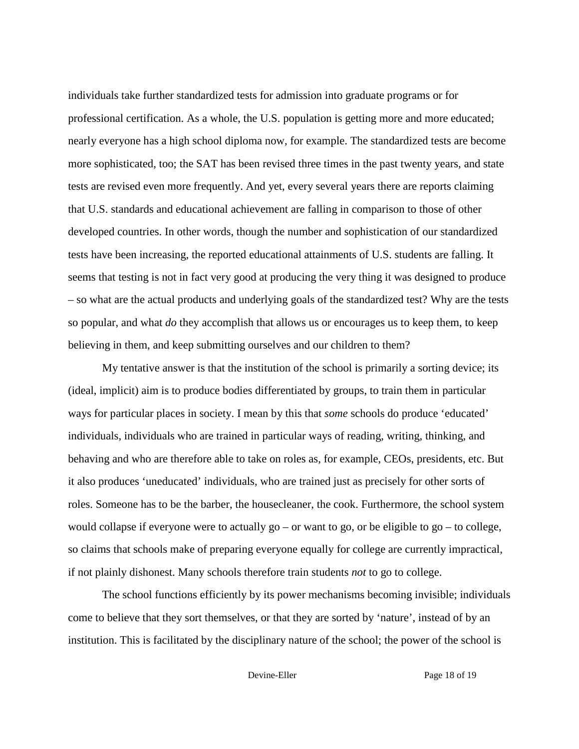individuals take further standardized tests for admission into graduate programs or for professional certification. As a whole, the U.S. population is getting more and more educated; nearly everyone has a high school diploma now, for example. The standardized tests are become more sophisticated, too; the SAT has been revised three times in the past twenty years, and state tests are revised even more frequently. And yet, every several years there are reports claiming that U.S. standards and educational achievement are falling in comparison to those of other developed countries. In other words, though the number and sophistication of our standardized tests have been increasing, the reported educational attainments of U.S. students are falling. It seems that testing is not in fact very good at producing the very thing it was designed to produce – so what are the actual products and underlying goals of the standardized test? Why are the tests so popular, and what *do* they accomplish that allows us or encourages us to keep them, to keep believing in them, and keep submitting ourselves and our children to them?

My tentative answer is that the institution of the school is primarily a sorting device; its (ideal, implicit) aim is to produce bodies differentiated by groups, to train them in particular ways for particular places in society. I mean by this that *some* schools do produce 'educated' individuals, individuals who are trained in particular ways of reading, writing, thinking, and behaving and who are therefore able to take on roles as, for example, CEOs, presidents, etc. But it also produces 'uneducated' individuals, who are trained just as precisely for other sorts of roles. Someone has to be the barber, the housecleaner, the cook. Furthermore, the school system would collapse if everyone were to actually  $g_0$  – or want to go, or be eligible to  $g_0$  – to college, so claims that schools make of preparing everyone equally for college are currently impractical, if not plainly dishonest. Many schools therefore train students *not* to go to college.

The school functions efficiently by its power mechanisms becoming invisible; individuals come to believe that they sort themselves, or that they are sorted by 'nature', instead of by an institution. This is facilitated by the disciplinary nature of the school; the power of the school is